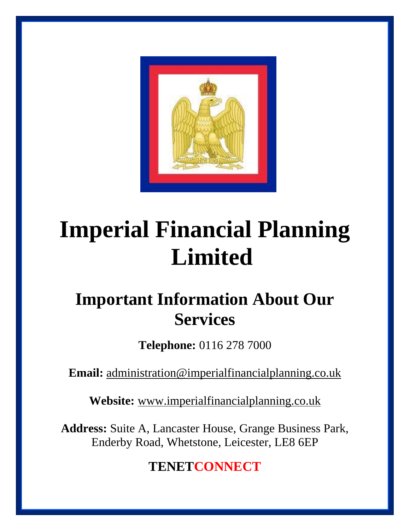

# **Imperial Financial Planning Limited**

# **Important Information About Our Services**

**Telephone:** 0116 278 7000

**Email:** [administration@imperialfinancialplanning.co.uk](mailto:administration@imperialfinancialplanning.co.uk)

**Website:** [www.imperialfinancialplanning.co.uk](http://www.imperialfinancialplanning.co.uk/)

**Address:** Suite A, Lancaster House, Grange Business Park, Enderby Road, Whetstone, Leicester, LE8 6EP

**TENETCONNECT**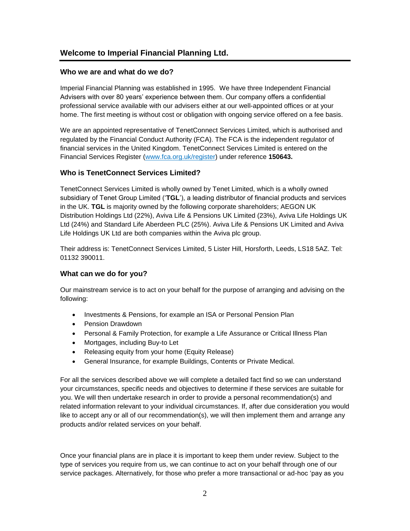# **Welcome to Imperial Financial Planning Ltd.**

#### **Who we are and what do we do?**

Imperial Financial Planning was established in 1995. We have three Independent Financial Advisers with over 80 years' experience between them. Our company offers a confidential professional service available with our advisers either at our well-appointed offices or at your home. The first meeting is without cost or obligation with ongoing service offered on a fee basis.

We are an appointed representative of TenetConnect Services Limited, which is authorised and regulated by the Financial Conduct Authority (FCA). The FCA is the independent regulator of financial services in the United Kingdom. TenetConnect Services Limited is entered on the Financial Services Register [\(www.fca.org.uk/register\)](http://www.fca.org.uk/register) under reference **150643.**

#### **Who is TenetConnect Services Limited?**

TenetConnect Services Limited is wholly owned by Tenet Limited, which is a wholly owned subsidiary of Tenet Group Limited ('**TGL**'), a leading distributor of financial products and services in the UK. **TGL** is majority owned by the following corporate shareholders; AEGON UK Distribution Holdings Ltd (22%), Aviva Life & Pensions UK Limited (23%), Aviva Life Holdings UK Ltd (24%) and Standard Life Aberdeen PLC (25%). Aviva Life & Pensions UK Limited and Aviva Life Holdings UK Ltd are both companies within the Aviva plc group.

Their address is: TenetConnect Services Limited, 5 Lister Hill, Horsforth, Leeds, LS18 5AZ. Tel: 01132 390011.

#### **What can we do for you?**

Our mainstream service is to act on your behalf for the purpose of arranging and advising on the following:

- Investments & Pensions, for example an ISA or Personal Pension Plan
- Pension Drawdown
- Personal & Family Protection, for example a Life Assurance or Critical Illness Plan
- Mortgages, including Buy-to Let
- Releasing equity from your home (Equity Release)
- General Insurance, for example Buildings, Contents or Private Medical.

For all the services described above we will complete a detailed fact find so we can understand your circumstances, specific needs and objectives to determine if these services are suitable for you. We will then undertake research in order to provide a personal recommendation(s) and related information relevant to your individual circumstances. If, after due consideration you would like to accept any or all of our recommendation(s), we will then implement them and arrange any products and/or related services on your behalf.

Once your financial plans are in place it is important to keep them under review. Subject to the type of services you require from us, we can continue to act on your behalf through one of our service packages. Alternatively, for those who prefer a more transactional or ad-hoc 'pay as you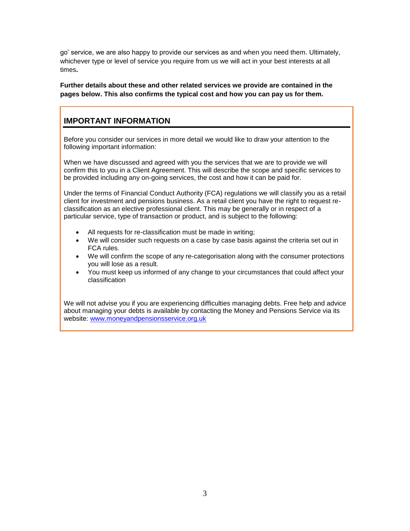go' service, we are also happy to provide our services as and when you need them. Ultimately, whichever type or level of service you require from us we will act in your best interests at all times**.**

#### **Further details about these and other related services we provide are contained in the pages below. This also confirms the typical cost and how you can pay us for them.**

# **IMPORTANT INFORMATION**

Before you consider our services in more detail we would like to draw your attention to the following important information:

When we have discussed and agreed with you the services that we are to provide we will confirm this to you in a Client Agreement. This will describe the scope and specific services to be provided including any on-going services, the cost and how it can be paid for.

Under the terms of Financial Conduct Authority (FCA) regulations we will classify you as a retail client for investment and pensions business. As a retail client you have the right to request reclassification as an elective professional client. This may be generally or in respect of a particular service, type of transaction or product, and is subject to the following:

- All requests for re-classification must be made in writing;
- We will consider such requests on a case by case basis against the criteria set out in FCA rules.
- We will confirm the scope of any re-categorisation along with the consumer protections you will lose as a result.
- You must keep us informed of any change to your circumstances that could affect your classification

We will not advise you if you are experiencing difficulties managing debts. Free help and advice about managing your debts is available by contacting the Money and Pensions Service via its website: [www.moneyandpensionsservice.org.uk](http://www.moneyandpensionsservice.org.uk/)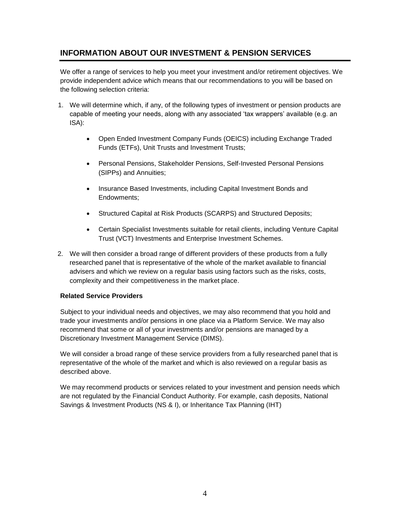# **INFORMATION ABOUT OUR INVESTMENT & PENSION SERVICES**

We offer a range of services to help you meet your investment and/or retirement objectives. We provide independent advice which means that our recommendations to you will be based on the following selection criteria:

- 1. We will determine which, if any, of the following types of investment or pension products are capable of meeting your needs, along with any associated 'tax wrappers' available (e.g. an ISA):
	- Open Ended Investment Company Funds (OEICS) including Exchange Traded Funds (ETFs), Unit Trusts and Investment Trusts;
	- Personal Pensions, Stakeholder Pensions, Self-Invested Personal Pensions (SIPPs) and Annuities;
	- Insurance Based Investments, including Capital Investment Bonds and Endowments;
	- Structured Capital at Risk Products (SCARPS) and Structured Deposits;
	- Certain Specialist Investments suitable for retail clients, including Venture Capital Trust (VCT) Investments and Enterprise Investment Schemes.
- 2. We will then consider a broad range of different providers of these products from a fully researched panel that is representative of the whole of the market available to financial advisers and which we review on a regular basis using factors such as the risks, costs, complexity and their competitiveness in the market place.

#### **Related Service Providers**

Subject to your individual needs and objectives, we may also recommend that you hold and trade your investments and/or pensions in one place via a Platform Service. We may also recommend that some or all of your investments and/or pensions are managed by a Discretionary Investment Management Service (DIMS).

We will consider a broad range of these service providers from a fully researched panel that is representative of the whole of the market and which is also reviewed on a regular basis as described above.

We may recommend products or services related to your investment and pension needs which are not regulated by the Financial Conduct Authority. For example, cash deposits, National Savings & Investment Products (NS & I), or Inheritance Tax Planning (IHT)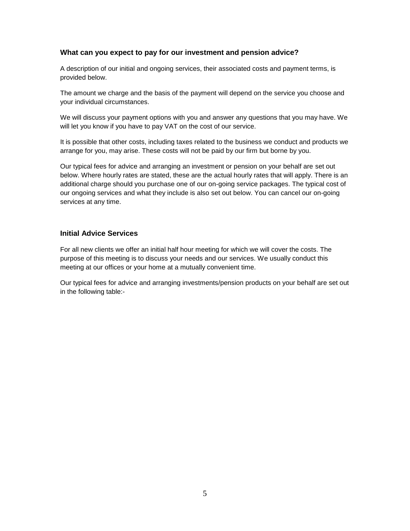#### **What can you expect to pay for our investment and pension advice?**

A description of our initial and ongoing services, their associated costs and payment terms, is provided below.

The amount we charge and the basis of the payment will depend on the service you choose and your individual circumstances.

We will discuss your payment options with you and answer any questions that you may have. We will let you know if you have to pay VAT on the cost of our service.

It is possible that other costs, including taxes related to the business we conduct and products we arrange for you, may arise. These costs will not be paid by our firm but borne by you.

Our typical fees for advice and arranging an investment or pension on your behalf are set out below. Where hourly rates are stated, these are the actual hourly rates that will apply. There is an additional charge should you purchase one of our on-going service packages. The typical cost of our ongoing services and what they include is also set out below. You can cancel our on-going services at any time.

#### **Initial Advice Services**

For all new clients we offer an initial half hour meeting for which we will cover the costs. The purpose of this meeting is to discuss your needs and our services. We usually conduct this meeting at our offices or your home at a mutually convenient time.

Our typical fees for advice and arranging investments/pension products on your behalf are set out in the following table:-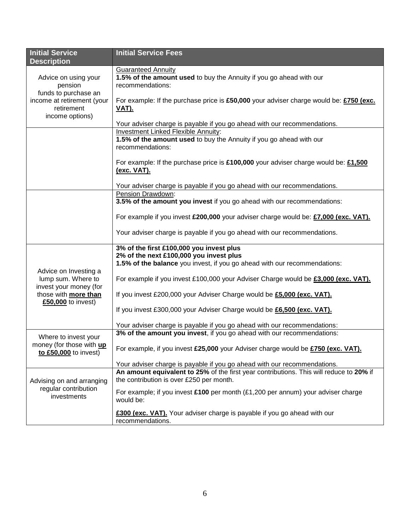| <b>Initial Service</b><br><b>Description</b>                | <b>Initial Service Fees</b>                                                                                                                                  |  |  |  |
|-------------------------------------------------------------|--------------------------------------------------------------------------------------------------------------------------------------------------------------|--|--|--|
| Advice on using your<br>pension<br>funds to purchase an     | <b>Guaranteed Annuity</b><br>1.5% of the amount used to buy the Annuity if you go ahead with our<br>recommendations:                                         |  |  |  |
| income at retirement (your<br>retirement<br>income options) | For example: If the purchase price is £50,000 your adviser charge would be: £750 (exc.<br><u>VAT).</u>                                                       |  |  |  |
|                                                             | Your adviser charge is payable if you go ahead with our recommendations.                                                                                     |  |  |  |
|                                                             | <b>Investment Linked Flexible Annuity:</b>                                                                                                                   |  |  |  |
|                                                             | 1.5% of the amount used to buy the Annuity if you go ahead with our<br>recommendations:                                                                      |  |  |  |
|                                                             | For example: If the purchase price is £100,000 your adviser charge would be: £1,500<br>(exc. VAT).                                                           |  |  |  |
|                                                             | Your adviser charge is payable if you go ahead with our recommendations.                                                                                     |  |  |  |
|                                                             | Pension Drawdown:                                                                                                                                            |  |  |  |
|                                                             | 3.5% of the amount you invest if you go ahead with our recommendations:                                                                                      |  |  |  |
|                                                             | For example if you invest £200,000 your adviser charge would be: £7,000 (exc. VAT).                                                                          |  |  |  |
|                                                             | Your adviser charge is payable if you go ahead with our recommendations.                                                                                     |  |  |  |
|                                                             | 3% of the first £100,000 you invest plus                                                                                                                     |  |  |  |
|                                                             | 2% of the next £100,000 you invest plus                                                                                                                      |  |  |  |
|                                                             | 1.5% of the balance you invest, if you go ahead with our recommendations:                                                                                    |  |  |  |
| Advice on Investing a                                       |                                                                                                                                                              |  |  |  |
| lump sum. Where to                                          | For example if you invest £100,000 your Adviser Charge would be £3,000 (exc. VAT).<br>If you invest £200,000 your Adviser Charge would be £5,000 (exc. VAT). |  |  |  |
| invest your money (for<br>those with more than              |                                                                                                                                                              |  |  |  |
| £50,000 to invest)                                          |                                                                                                                                                              |  |  |  |
|                                                             | If you invest £300,000 your Adviser Charge would be £6,500 (exc. VAT).                                                                                       |  |  |  |
|                                                             | Your adviser charge is payable if you go ahead with our recommendations:                                                                                     |  |  |  |
|                                                             | 3% of the amount you invest, if you go ahead with our recommendations:                                                                                       |  |  |  |
| Where to invest your                                        |                                                                                                                                                              |  |  |  |
| money (for those with up<br>to £50,000 to invest)           | For example, if you invest £25,000 your Adviser charge would be £750 (exc. VAT).                                                                             |  |  |  |
|                                                             | Your adviser charge is payable if you go ahead with our recommendations.                                                                                     |  |  |  |
|                                                             | An amount equivalent to 25% of the first year contributions. This will reduce to 20% if                                                                      |  |  |  |
| Advising on and arranging                                   | the contribution is over £250 per month.                                                                                                                     |  |  |  |
| regular contribution<br>investments                         | For example; if you invest £100 per month (£1,200 per annum) your adviser charge<br>would be:                                                                |  |  |  |
|                                                             | £300 (exc. VAT). Your adviser charge is payable if you go ahead with our<br>recommendations.                                                                 |  |  |  |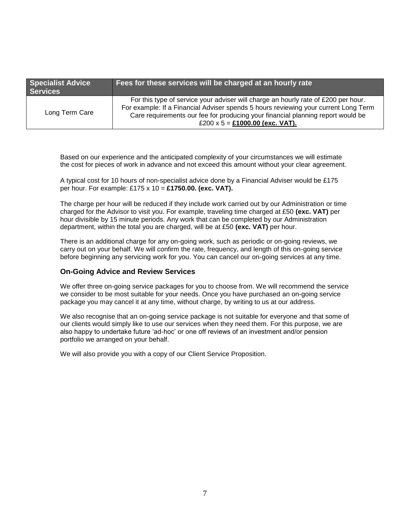| <b>Specialist Advice</b><br><b>Services</b> | Fees for these services will be charged at an hourly rate                                                                                                                                                                                                                                       |
|---------------------------------------------|-------------------------------------------------------------------------------------------------------------------------------------------------------------------------------------------------------------------------------------------------------------------------------------------------|
| Long Term Care                              | For this type of service your adviser will charge an hourly rate of £200 per hour.<br>For example: If a Financial Adviser spends 5 hours reviewing your current Long Term<br>Care requirements our fee for producing your financial planning report would be<br>£200 x 5 = £1000.00 (exc. VAT). |

Based on our experience and the anticipated complexity of your circumstances we will estimate the cost for pieces of work in advance and not exceed this amount without your clear agreement.

A typical cost for 10 hours of non-specialist advice done by a Financial Adviser would be £175 per hour. For example: £175 x 10 = **£1750.00. (exc. VAT).** 

The charge per hour will be reduced if they include work carried out by our Administration or time charged for the Advisor to visit you. For example, traveling time charged at £50 **(exc. VAT)** per hour divisible by 15 minute periods. Any work that can be completed by our Administration department, within the total you are charged, will be at £50 **(exc. VAT)** per hour.

There is an additional charge for any on-going work, such as periodic or on-going reviews, we carry out on your behalf. We will confirm the rate, frequency, and length of this on-going service before beginning any servicing work for you. You can cancel our on-going services at any time.

#### **On-Going Advice and Review Services**

We offer three on-going service packages for you to choose from. We will recommend the service we consider to be most suitable for your needs. Once you have purchased an on-going service package you may cancel it at any time, without charge, by writing to us at our address.

We also recognise that an on-going service package is not suitable for everyone and that some of our clients would simply like to use our services when they need them. For this purpose, we are also happy to undertake future 'ad-hoc' or one off reviews of an investment and/or pension portfolio we arranged on your behalf.

We will also provide you with a copy of our Client Service Proposition.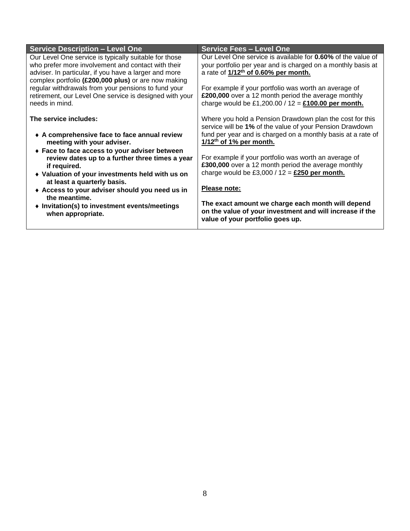| <b>Service Description - Level One</b>                  | <b>Service Fees - Level One</b>                              |  |
|---------------------------------------------------------|--------------------------------------------------------------|--|
| Our Level One service is typically suitable for those   | Our Level One service is available for 0.60% of the value of |  |
| who prefer more involvement and contact with their      | your portfolio per year and is charged on a monthly basis at |  |
| adviser. In particular, if you have a larger and more   | a rate of 1/12 <sup>th</sup> of 0.60% per month.             |  |
| complex portfolio (£200,000 plus) or are now making     |                                                              |  |
| regular withdrawals from your pensions to fund your     | For example if your portfolio was worth an average of        |  |
| retirement, our Level One service is designed with your | £200,000 over a 12 month period the average monthly          |  |
| needs in mind.                                          | charge would be £1,200.00 / 12 = $£100.00$ per month.        |  |
| The service includes:                                   | Where you hold a Pension Drawdown plan the cost for this     |  |
|                                                         | service will be 1% of the value of your Pension Drawdown     |  |
| • A comprehensive face to face annual review            | fund per year and is charged on a monthly basis at a rate of |  |
| meeting with your adviser.                              | $1/12$ <sup>th</sup> of 1% per month.                        |  |
|                                                         |                                                              |  |
| ◆ Face to face access to your adviser between           | For example if your portfolio was worth an average of        |  |
| review dates up to a further three times a year         | £300,000 over a 12 month period the average monthly          |  |
| if required.                                            | charge would be £3,000 / $12 =$ £250 per month.              |  |
| • Valuation of your investments held with us on         |                                                              |  |
| at least a quarterly basis.                             | Please note:                                                 |  |
| Access to your adviser should you need us in            |                                                              |  |
| the meantime.                                           | The exact amount we charge each month will depend            |  |
| • Invitation(s) to investment events/meetings           | on the value of your investment and will increase if the     |  |
| when appropriate.                                       | value of your portfolio goes up.                             |  |
|                                                         |                                                              |  |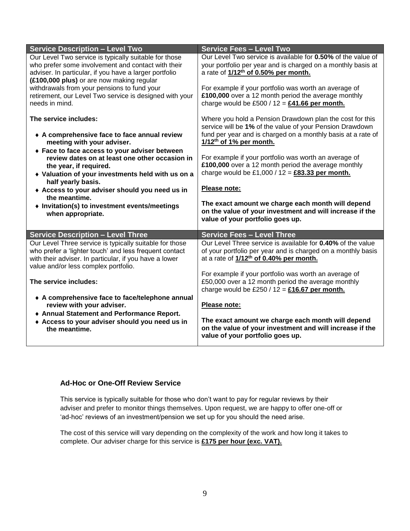| <b>Service Description - Level Two</b>                                                                                                                                                                              | <b>Service Fees - Level Two</b>                                                                                                                                                                                             |  |
|---------------------------------------------------------------------------------------------------------------------------------------------------------------------------------------------------------------------|-----------------------------------------------------------------------------------------------------------------------------------------------------------------------------------------------------------------------------|--|
| Our Level Two service is typically suitable for those<br>who prefer some involvement and contact with their<br>adviser. In particular, if you have a larger portfolio<br>(£100,000 plus) or are now making regular  | Our Level Two service is available for 0.50% of the value of<br>your portfolio per year and is charged on a monthly basis at<br>a rate of 1/12 <sup>th</sup> of 0.50% per month.                                            |  |
| withdrawals from your pensions to fund your<br>retirement, our Level Two service is designed with your<br>needs in mind.                                                                                            | For example if your portfolio was worth an average of<br>£100,000 over a 12 month period the average monthly<br>charge would be £500 / $12 = \text{\pounds}41.66$ per month.                                                |  |
| The service includes:<br>• A comprehensive face to face annual review<br>meeting with your adviser.<br>◆ Face to face access to your adviser between                                                                | Where you hold a Pension Drawdown plan the cost for this<br>service will be 1% of the value of your Pension Drawdown<br>fund per year and is charged on a monthly basis at a rate of<br>1/12 <sup>th</sup> of 1% per month. |  |
| review dates on at least one other occasion in<br>the year, if required.<br>• Valuation of your investments held with us on a                                                                                       | For example if your portfolio was worth an average of<br>£100,000 over a 12 month period the average monthly<br>charge would be £1,000 / $12 = \text{\textsterling}83.33$ per month.                                        |  |
| half yearly basis.<br>Access to your adviser should you need us in<br>the meantime.                                                                                                                                 | Please note:                                                                                                                                                                                                                |  |
| • Invitation(s) to investment events/meetings<br>when appropriate.                                                                                                                                                  | The exact amount we charge each month will depend<br>on the value of your investment and will increase if the<br>value of your portfolio goes up.                                                                           |  |
| <b>Service Description - Level Three</b>                                                                                                                                                                            | <b>Service Fees - Level Three</b>                                                                                                                                                                                           |  |
| Our Level Three service is typically suitable for those<br>who prefer a 'lighter touch' and less frequent contact<br>with their adviser. In particular, if you have a lower<br>value and/or less complex portfolio. | Our Level Three service is available for 0.40% of the value<br>of your portfolio per year and is charged on a monthly basis<br>at a rate of 1/12 <sup>th</sup> of 0.40% per month.                                          |  |
| The service includes:                                                                                                                                                                                               | For example if your portfolio was worth an average of<br>£50,000 over a 12 month period the average monthly<br>charge would be £250 / 12 = $£16.67$ per month.                                                              |  |
| • A comprehensive face to face/telephone annual<br>review with your adviser.<br>◆ Annual Statement and Performance Report.                                                                                          | Please note:                                                                                                                                                                                                                |  |
| Access to your adviser should you need us in<br>the meantime.                                                                                                                                                       | The exact amount we charge each month will depend<br>on the value of your investment and will increase if the                                                                                                               |  |

# **Ad-Hoc or One-Off Review Service**

This service is typically suitable for those who don't want to pay for regular reviews by their adviser and prefer to monitor things themselves. Upon request, we are happy to offer one-off or 'ad-hoc' reviews of an investment/pension we set up for you should the need arise.

The cost of this service will vary depending on the complexity of the work and how long it takes to complete. Our adviser charge for this service is **£175 per hour (exc. VAT).**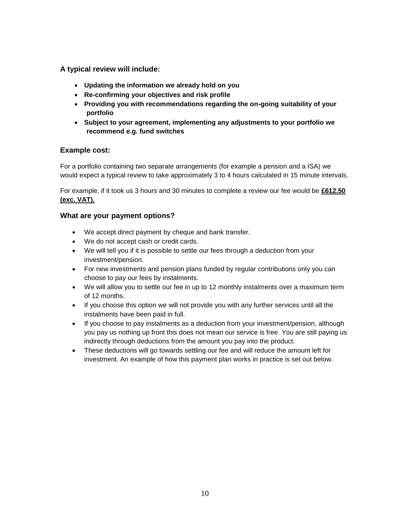**A typical review will include:** 

- **Updating the information we already hold on you**
- **Re-confirming your objectives and risk profile**
- **Providing you with recommendations regarding the on-going suitability of your portfolio**
- **Subject to your agreement, implementing any adjustments to your portfolio we recommend e.g. fund switches**

#### **Example cost:**

For a portfolio containing two separate arrangements (for example a pension and a ISA) we would expect a typical review to take approximately 3 to 4 hours calculated in 15 minute intervals.

For example, if it took us 3 hours and 30 minutes to complete a review our fee would be **£612.50 (exc. VAT).** 

#### **What are your payment options?**

- We accept direct payment by cheque and bank transfer.
- We do not accept cash or credit cards.
- We will tell you if it is possible to settle our fees through a deduction from your investment/pension.
- For new investments and pension plans funded by regular contributions only you can choose to pay our fees by instalments.
- We will allow you to settle our fee in up to 12 monthly instalments over a maximum term of 12 months.
- If you choose this option we will not provide you with any further services until all the instalments have been paid in full.
- If you choose to pay instalments as a deduction from your investment/pension, although you pay us nothing up front this does not mean our service is free. You are still paying us indirectly through deductions from the amount you pay into the product.
- These deductions will go towards settling our fee and will reduce the amount left for investment. An example of how this payment plan works in practice is set out below.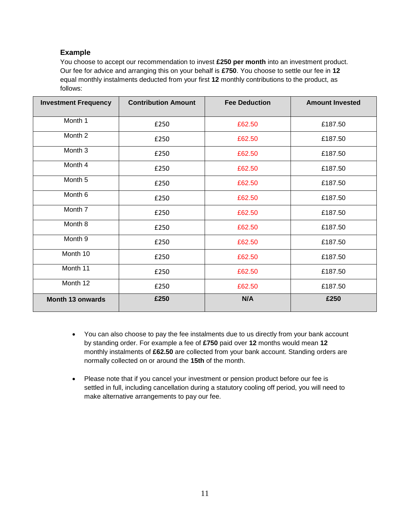#### **Example**

You choose to accept our recommendation to invest **£250 per month** into an investment product. Our fee for advice and arranging this on your behalf is **£750**. You choose to settle our fee in **12**  equal monthly instalments deducted from your first **12** monthly contributions to the product, as follows:

| <b>Investment Frequency</b> | <b>Contribution Amount</b> | <b>Fee Deduction</b> | <b>Amount Invested</b> |
|-----------------------------|----------------------------|----------------------|------------------------|
| Month 1                     | £250                       | £62.50               | £187.50                |
| Month 2                     | £250                       | £62.50               | £187.50                |
| Month 3                     | £250                       | £62.50               | £187.50                |
| Month 4                     | £250                       | £62.50               | £187.50                |
| Month 5                     | £250                       | £62.50               | £187.50                |
| Month 6                     | £250                       | £62.50               | £187.50                |
| Month 7                     | £250                       | £62.50               | £187.50                |
| Month 8                     | £250                       | £62.50               | £187.50                |
| Month 9                     | £250                       | £62.50               | £187.50                |
| Month 10                    | £250                       | £62.50               | £187.50                |
| Month 11                    | £250                       | £62.50               | £187.50                |
| Month 12                    | £250                       | £62.50               | £187.50                |
| Month 13 onwards            | £250                       | N/A                  | £250                   |

- You can also choose to pay the fee instalments due to us directly from your bank account by standing order. For example a fee of **£750** paid over **12** months would mean **12** monthly instalments of **£62.50** are collected from your bank account. Standing orders are normally collected on or around the **15th** of the month.
- Please note that if you cancel your investment or pension product before our fee is settled in full, including cancellation during a statutory cooling off period, you will need to make alternative arrangements to pay our fee.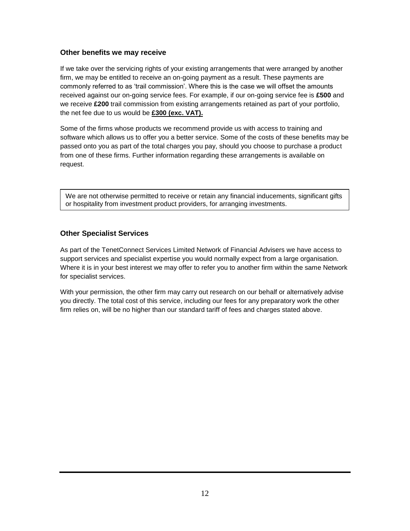#### **Other benefits we may receive**

If we take over the servicing rights of your existing arrangements that were arranged by another firm, we may be entitled to receive an on-going payment as a result. These payments are commonly referred to as 'trail commission'. Where this is the case we will offset the amounts received against our on-going service fees. For example, if our on-going service fee is **£500** and we receive **£200** trail commission from existing arrangements retained as part of your portfolio, the net fee due to us would be **£300 (exc. VAT).**

Some of the firms whose products we recommend provide us with access to training and software which allows us to offer you a better service. Some of the costs of these benefits may be passed onto you as part of the total charges you pay, should you choose to purchase a product from one of these firms. Further information regarding these arrangements is available on request.

We are not otherwise permitted to receive or retain any financial inducements, significant gifts or hospitality from investment product providers, for arranging investments.

# **Other Specialist Services**

As part of the TenetConnect Services Limited Network of Financial Advisers we have access to support services and specialist expertise you would normally expect from a large organisation. Where it is in your best interest we may offer to refer you to another firm within the same Network for specialist services.

With your permission, the other firm may carry out research on our behalf or alternatively advise you directly. The total cost of this service, including our fees for any preparatory work the other firm relies on, will be no higher than our standard tariff of fees and charges stated above.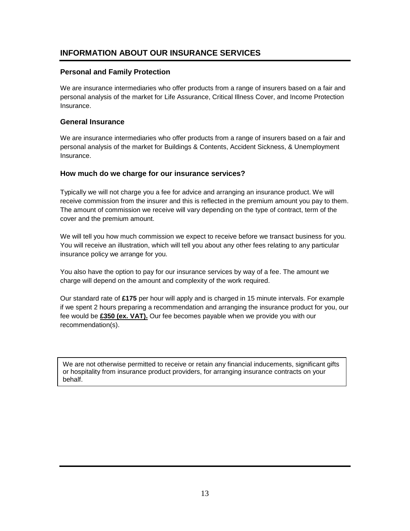# **INFORMATION ABOUT OUR INSURANCE SERVICES**

#### **Personal and Family Protection**

We are insurance intermediaries who offer products from a range of insurers based on a fair and personal analysis of the market for Life Assurance, Critical Illness Cover, and Income Protection Insurance.

#### **General Insurance**

We are insurance intermediaries who offer products from a range of insurers based on a fair and personal analysis of the market for Buildings & Contents, Accident Sickness, & Unemployment Insurance.

#### **How much do we charge for our insurance services?**

Typically we will not charge you a fee for advice and arranging an insurance product. We will receive commission from the insurer and this is reflected in the premium amount you pay to them. The amount of commission we receive will vary depending on the type of contract, term of the cover and the premium amount.

We will tell you how much commission we expect to receive before we transact business for you. You will receive an illustration, which will tell you about any other fees relating to any particular insurance policy we arrange for you.

You also have the option to pay for our insurance services by way of a fee. The amount we charge will depend on the amount and complexity of the work required.

Our standard rate of **£175** per hour will apply and is charged in 15 minute intervals. For example if we spent 2 hours preparing a recommendation and arranging the insurance product for you, our fee would be **£350 (ex. VAT).** Our fee becomes payable when we provide you with our recommendation(s).

We are not otherwise permitted to receive or retain any financial inducements, significant gifts or hospitality from insurance product providers, for arranging insurance contracts on your behalf.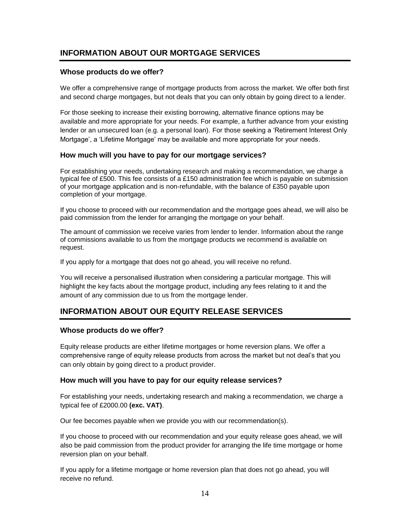# **INFORMATION ABOUT OUR MORTGAGE SERVICES**

#### **Whose products do we offer?**

We offer a comprehensive range of mortgage products from across the market. We offer both first and second charge mortgages, but not deals that you can only obtain by going direct to a lender.

For those seeking to increase their existing borrowing, alternative finance options may be available and more appropriate for your needs. For example, a further advance from your existing lender or an unsecured loan (e.g. a personal loan). For those seeking a 'Retirement Interest Only Mortgage', a 'Lifetime Mortgage' may be available and more appropriate for your needs.

#### **How much will you have to pay for our mortgage services?**

For establishing your needs, undertaking research and making a recommendation, we charge a typical fee of £500. This fee consists of a £150 administration fee which is payable on submission of your mortgage application and is non-refundable, with the balance of £350 payable upon completion of your mortgage.

If you choose to proceed with our recommendation and the mortgage goes ahead, we will also be paid commission from the lender for arranging the mortgage on your behalf.

The amount of commission we receive varies from lender to lender. Information about the range of commissions available to us from the mortgage products we recommend is available on request.

If you apply for a mortgage that does not go ahead, you will receive no refund.

You will receive a personalised illustration when considering a particular mortgage. This will highlight the key facts about the mortgage product, including any fees relating to it and the amount of any commission due to us from the mortgage lender.

# **INFORMATION ABOUT OUR EQUITY RELEASE SERVICES**

#### **Whose products do we offer?**

Equity release products are either lifetime mortgages or home reversion plans. We offer a comprehensive range of equity release products from across the market but not deal's that you can only obtain by going direct to a product provider.

#### **How much will you have to pay for our equity release services?**

For establishing your needs, undertaking research and making a recommendation, we charge a typical fee of £2000.00 **(exc. VAT)**.

Our fee becomes payable when we provide you with our recommendation(s).

If you choose to proceed with our recommendation and your equity release goes ahead, we will also be paid commission from the product provider for arranging the life time mortgage or home reversion plan on your behalf.

If you apply for a lifetime mortgage or home reversion plan that does not go ahead, you will receive no refund.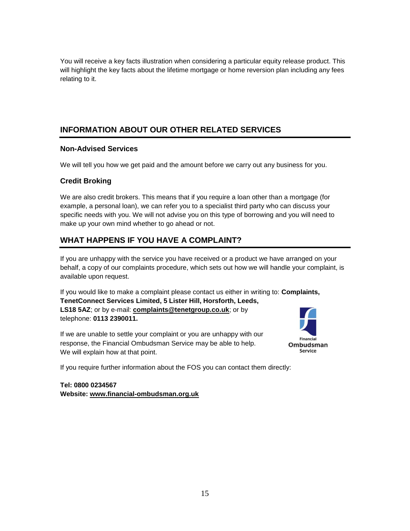You will receive a key facts illustration when considering a particular equity release product. This will highlight the key facts about the lifetime mortgage or home reversion plan including any fees relating to it.

# **INFORMATION ABOUT OUR OTHER RELATED SERVICES**

#### **Non-Advised Services**

We will tell you how we get paid and the amount before we carry out any business for you.

# **Credit Broking**

We are also credit brokers. This means that if you require a loan other than a mortgage (for example, a personal loan), we can refer you to a specialist third party who can discuss your specific needs with you. We will not advise you on this type of borrowing and you will need to make up your own mind whether to go ahead or not.

# **WHAT HAPPENS IF YOU HAVE A COMPLAINT?**

If you are unhappy with the service you have received or a product we have arranged on your behalf, a copy of our complaints procedure, which sets out how we will handle your complaint, is available upon request.

If you would like to make a complaint please contact us either in writing to: **Complaints, TenetConnect Services Limited, 5 Lister Hill, Horsforth, Leeds, LS18 5AZ**; or by e-mail: **[complaints@tenetgroup.co.uk](mailto:complaints@tenetgroup.co.uk)**; or by telephone: **0113 2390011.**

If we are unable to settle your complaint or you are unhappy with our response, the Financial Ombudsman Service may be able to help. We will explain how at that point.



If you require further information about the FOS you can contact them directly:

**Tel: 0800 0234567 Website: [www.financial-ombudsman.org.uk](http://www.financial-ombudsman.org.uk/)**